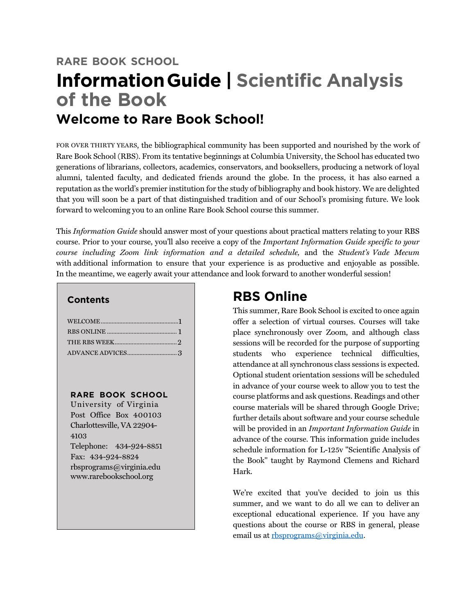# **RARE BOOK SCHOOL InformationGuide | Scientific Analysis of the Book Welcome to Rare Book School!**

FOR OVER THIRTY YEARS, the bibliographical community has been supported and nourished by the work of Rare Book School (RBS). From its tentative beginnings at Columbia University, the School has educated two generations of librarians, collectors, academics, conservators, and booksellers, producing a network of loyal alumni, talented faculty, and dedicated friends around the globe. In the process, it has also earned a reputation as the world's premier institution for the study of bibliography and book history. We are delighted that you will soon be a part of that distinguished tradition and of our School's promising future. We look forward to welcoming you to an online Rare Book School course this summer.

This *Information Guide* should answer most of your questions about practical matters relating to your RBS course. Prior to your course, you'll also receive a copy of the *Important Information Guide specific to your course including Zoom link information and a detailed schedule,* and the *Student's Vade Mecum*  with additional information to ensure that your experience is as productive and enjoyable as possible. In the meantime, we eagerly await your attendance and look forward to another wonderful session!

## **Contents**

#### **RARE BOOK SCHOOL**

University of Virginia Post Office Box 400103 Charlottesville, VA 22904- 4103 Telephone: 434-924-8851 Fax: 434-924-8824 rbsprograms@virginia.edu www.rarebookschool.org

# **RBS Online**

This summer, Rare Book School is excited to once again offer a selection of virtual courses. Courses will take place synchronously over Zoom, and although class sessions will be recorded for the purpose of supporting students who experience technical difficulties, attendance at all synchronous class sessions is expected. Optional student orientation sessions will be scheduled in advance of your course week to allow you to test the course platforms and ask questions. Readings and other course materials will be shared through Google Drive; further details about software and your course schedule will be provided in an *Important Information Guide* in advance of the course. This information guide includes schedule information for L-125v "Scientific Analysis of the Book" taught by Raymond Clemens and Richard Hark.

We're excited that you've decided to join us this summer, and we want to do all we can to deliver an exceptional educational experience. If you have any questions about the course or RBS in general, please email us at rbsprograms@virginia.edu.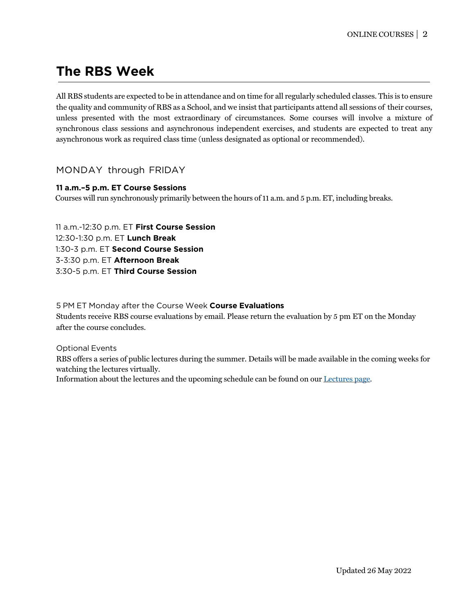# **The RBS Week**

All RBS students are expected to be in attendance and on time for all regularly scheduled classes. This is to ensure the quality and community of RBS as a School, and we insist that participants attend all sessions of their courses, unless presented with the most extraordinary of circumstances. Some courses will involve a mixture of synchronous class sessions and asynchronous independent exercises, and students are expected to treat any asynchronous work as required class time (unless designated as optional or recommended).

# MONDAY through FRIDAY

#### **11 a.m.–5 p.m. ET Course Sessions**

Courses will run synchronously primarily between the hours of 11 a.m. and 5 p.m. ET, including breaks.

11 a.m.-12:30 p.m. ET **First Course Session** 12:30-1:30 p.m. ET **Lunch Break** 1:30-3 p.m. ET **Second Course Session** 3-3:30 p.m. ET **Afternoon Break** 3:30-5 p.m. ET **Third Course Session**

5 PM ET Monday after the Course Week **Course Evaluations** Students receive RBS course evaluations by email. Please return the evaluation by 5 pm ET on the Monday after the course concludes.

Optional Events

RBS offers a series of public lectures during the summer. Details will be made available in the coming weeks for watching the lectures virtually.

Information about the lectures and the upcoming schedule can be found on our [Lectures](https://rarebookschool.org/programs/lectures/) page.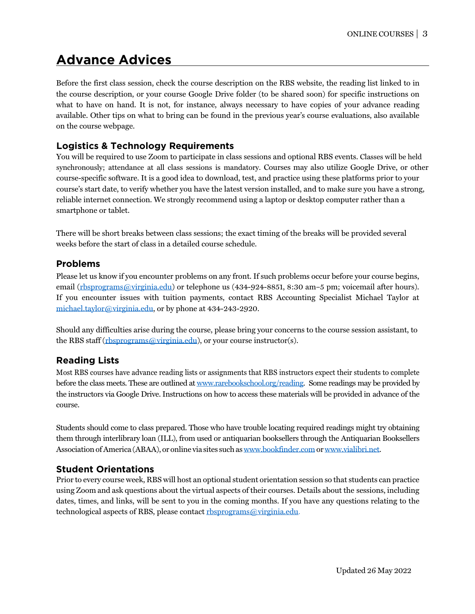# **Advance Advices**

Before the first class session, check the course description on the RBS website, the reading list linked to in the course description, or your course Google Drive folder (to be shared soon) for specific instructions on what to have on hand. It is not, for instance, always necessary to have copies of your advance reading available. Other tips on what to bring can be found in the previous year's course evaluations, also available on the course webpage.

# **Logistics & Technology Requirements**

You will be required to use Zoom to participate in class sessions and optional RBS events. Classes will be held synchronously; attendance at all class sessions is mandatory. Courses may also utilize Google Drive, or other course-specific software. It is a good idea to download, test, and practice using these platforms prior to your course's start date, to verify whether you have the latest version installed, and to make sure you have a strong, reliable internet connection. We strongly recommend using a laptop or desktop computer rather than a smartphone or tablet.

There will be short breaks between class sessions; the exact timing of the breaks will be provided several weeks before the start of class in a detailed course schedule.

## **Problems**

Please let us know if you encounter problems on any front. If such problems occur before your course begins, email (rbsprograms@virginia.edu) or telephone us (434-924-8851, 8:30 am–5 pm; voicemail after hours). If you encounter issues with tuition payments, contact RBS Accounting Specialist Michael Taylor at michael.taylor@virginia.edu, or by phone at 434-243-2920.

Should any difficulties arise during the course, please bring your concerns to the course session assistant, to the RBS staff (rbsprograms@virginia.edu), or your course instructor(s).

# **Reading Lists**

Most RBS courses have advance reading lists or assignments that RBS instructors expect their students to complete before the class meets. These are outlined at www.rarebookschool.org/reading. Some readings may be provided by the instructors via Google Drive. Instructions on how to access these materials will be provided in advance of the course.

Students should come to class prepared. Those who have trouble locating required readings might try obtaining them through interlibrary loan (ILL), from used or antiquarian booksellers through the Antiquarian Booksellers Association of America (ABAA), or online via sites such as www.bookfinder.com or www.vialibri.net.

# **Student Orientations**

Prior to every course week, RBS will host an optional student orientation session so that students can practice using Zoom and ask questions about the virtual aspects of their courses. Details about the sessions, including dates, times, and links, will be sent to you in the coming months. If you have any questions relating to the technological aspects of RBS, please contact rbsprograms@virginia.edu.